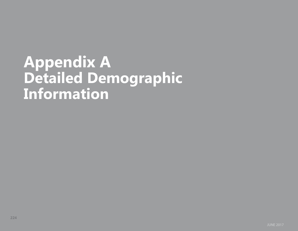# **Appendix A Detailed Demographic Information**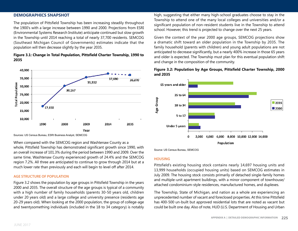# **Demographics Snapshot**

The population of Pittsfield Township has been increasing steadily throughout the 1900's with a large increase between 1990 and 2000. Projections from ESRI (Environmental Systems Research Institute) anticipate continued but slow growth in the Township until 2014 reaching a total of nearly 37,700 residents. SEMCOG (Southeast Michigan Council of Governments) estimates indicate that the population will then decrease slightly by the year 2035.

# **Figure 3.1: Change in Total Population, Pittsfield Charter Township, 1990 to 2035**



Sources: US Census Bureau, ESRI Business Analyst, SEMCOG

When compared with the SEMCOG region and Washtenaw County as a whole, Pittsfield Township has demonstrated significant growth since 1990, with an overall increase of 101.3% during the period between 1990 and 2009. Over the same time, Washtenaw County experienced growth of 24.4% and the SEMCOG region 7.2%. All three are anticipated to continue to grow through 2014 but at a much lower rate than previously and each will begin to level off after 2014.

#### **Age Structure of Population**

Figure 3.2 shows the population by age groups in Pittsfield Township in the years 2000 and 2035. The overall structure of the age groups is typical of a community with a high number of family households (parents 30-50 years old, children under 20 years old) and a large college and university presence (residents age 20-29 years old). When looking at the 2000 population, the group of college-age and twentysomething individuals (included in the 18 to 34 category) is notably high, suggesting that either many high-school graduates choose to stay in the Township to attend one of the many local colleges and universities and/or a significant population of non-resident students live in the Township to attend school. However, this trend is projected to change over the next 25 years.

Given the context of the year 2000 age groups, SEMCOG projections show a dramatic shift toward an older population in the Township by 2035. The family household (parents with children) and young adult populations are not anticipated to decrease significantly, but a nearly 400% increase in those 65 years and older is expected. The Township must plan for this eventual population shift and change in the composition of the community.

# **Figure 3.2: Population by Age Groups, Pittsfield Charter Township, 2000 and 2035**



Source: US Census Bureau, SEMCOG

#### **Housing**

Pittsfield's existing housing stock contains nearly 14,697 housing units and 13,999 households (occupied housing units) based on SEMCOG estimates in July 2009. The housing stock consists primarily of detached single-family homes and multiple-unit apartment buildings, with a minor component of townhouse/ attached condominium-style residences, manufactured homes, and duplexes.

The Township, State of Michigan, and nation as a whole are experiencing an unprecedented number of vacant and foreclosed properties. At this time Pittsfield has 400-500 un-built but approved residential lots that are noted as vacant but could be built one day. Also of note, HUD (U.S. Department of Housing and Urban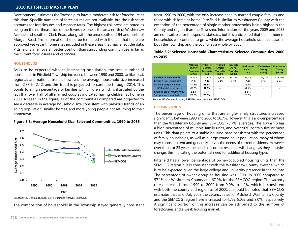# **2010 Pittsfield Master Plan**

Development) estimates the Township to have a moderate risk for foreclosure at this time. Specific numbers of foreclosures are not available, but the risk score accounts for foreclosures and vacancy rates. The highest risk areas are noted as being on the northeast side of the Township; one is the area north of Washtenaw Avenue and south of Clark Road, along with the area south of I-94 and north of Morgan Road. This information should be tempered with the fact that there are approved yet vacant home sites included in these areas that may affect the data. Pittsfield is in an overall better position than surrounding communities as far as the current foreclosures and vacancies.

#### **Households**

As is to be expected with an increasing population, the total number of households in Pittsfield Township increased between 1990 and 2000. Unlike local, regional, and national trends, however, the average household size increased from 2.33 to 2.42, and this trend is projected to continue through 2014. This points to a high percentage of families with children, which is illustrated by the fact that over half of all married couples indicated having children at home in 2000. As seen in the figure, all of the communities compared are projected to see a decrease in average household size consistent with previous trends of an aging population, smaller homes, and more young people not returning to their hometown.



# **Figure 3.3: Average Household Size, Selected Communities, 1990 to 2035**

Sources: US Census Bureau, ESRI Business Analyst, SEMCOG

The composition of households in the Township stayed generally consistent

from 1990 to 2000, with the only increase seen in married couple families and those with children at home. Pittsfield is similar to Washtenaw County with the exception of the percentage of single mother households being higher in the County and region than the Township. Information for the years 2009 and 2035 are not available for the specific statistics, but it is anticipated that the number of households will continue to grow while the average household size decreases in both the Township and the county as a whole by 2035.

# **Table 3.2: Selected Household Characteristics, Selected Communities, 2000 to 2035**

| <b>Pittsfield</b><br><b>Charter</b><br>Township<br>(1990) | Pittsfield<br>Charter<br>Township<br>(2000) | Pittsfield<br>Charter<br><b>Township</b><br>(2009) | Pittsfield<br>Charter<br>Township<br>(2035) | Washtenaw<br><b>County</b><br>(2000) | Washtenaw<br>County<br>(2009) | Washtenaw<br>County<br>(2035) |
|-----------------------------------------------------------|---------------------------------------------|----------------------------------------------------|---------------------------------------------|--------------------------------------|-------------------------------|-------------------------------|
| 6.932                                                     | 11,817                                      | 13,828                                             | 15.254                                      | 125,327                              | 139,734                       | 157.409                       |
| 2.33                                                      | 2.42                                        | 2.45                                               | 2.30                                        | 2.41                                 | 2.38                          | 2.26                          |
| 44.3%                                                     | 48.5%                                       | $-$                                                | $\sim$ $-$                                  | 46.5%                                | $- -$                         | $\sim$                        |
| 48.5%                                                     | 52.8%                                       | $\overline{\phantom{a}}$                           | $\sim$                                      | 47.4%                                | $\sim$                        | $\sim$                        |
| 8.6%                                                      | 7.3%                                        | $\sim$                                             | $\sim$ $-$                                  | 9.3%                                 | $\sim$                        | $\sim$                        |
| 29.6%                                                     | 29.8%                                       | --                                                 | $-1$                                        | 29.5%                                | $-$                           | $\overline{\phantom{a}}$      |
|                                                           |                                             |                                                    |                                             |                                      |                               |                               |

Source: US Census Bureau, ESRI Business Analyst, SEMCOG

#### **Housing Units**

The percentage of housing units that are single-family structures increased significantly between 1990 and 2000 to 50.7%. However, this is a lower percentage than the Washtenaw County and SEMCOG (73.7%) averages. The Township has a high percentage of multiple family units, and over 90% contain five or more units. This data points to a stable housing base consistent with the percentage of family households, as well as a large young adult population, many of whom may choose to rent and generally serves the needs of current residents. However, over the next 25 years the needs of current residents will change as they lifestyles change, this indicating the potential need for additional housing types.

Pittsfield has a lower percentage of owner-occupied housing units than the SEMCOG region but is consistent with the Washtenaw County average, which is to be expected given the large college and university presence in the county. The percentage of owner-occupied housing was 53.7% in 2000 compared to 57.1% for Washtenaw County and 67.9% for the SEMCOG region. The vacancy rate decreased from 1990 to 2000 from 9.9% to 4.2%, which is consistent with both the county and region as of 2000. It should be noted that SEMCOG estimates that as of July 2009 the vacancy rates for Pittsfield, Washtenaw County, and the SEMCOG region have increased to 4.7%, 5.0%, and 8.0%, respectively. A significant portion of this increase can be attributed to the number of foreclosures and a weak housing market.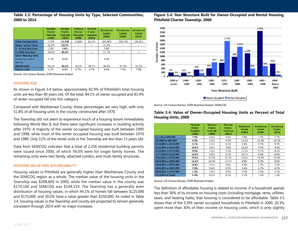# **Table 3.3: Percentage of Housing Units by Type, Selected Communities, 2000 to 2014**

|                                                           | Pittsfield<br><b>Charter</b><br>Township<br>(1990) | Pittsfield<br><b>Charter</b><br>Township<br>(2000) | Pittsfield<br>Charter<br>Township<br>(2009) | Pittsfield<br><b>Charter</b><br>Township<br>(2014) | Washtenaw<br>County<br>(2000) | Washtenaw<br>County<br>(2009) | Washtenaw<br>County<br>(2014) |
|-----------------------------------------------------------|----------------------------------------------------|----------------------------------------------------|---------------------------------------------|----------------------------------------------------|-------------------------------|-------------------------------|-------------------------------|
| <b>Total Housing Units</b>                                | 7.794                                              | 12,338                                             | 14,826                                      | 15,731                                             | 131.069                       | 139,734                       | 145.891                       |
| <b>Single Family Home</b>                                 | 32.3%                                              | 50.7%                                              | $\sim$                                      | --                                                 | 61.0%                         | $\sim$                        | $\sim$ $\sim$                 |
| $2 - 4$ Unit Structure                                    | 2.9%                                               | 4.0%                                               | $-1$                                        | $\overline{\phantom{a}}$                           | 7.6%                          | $-1$                          | $-1$                          |
| 5 + Unit Structure                                        | 39.2%                                              | 39.2%                                              | $\sim$                                      | $\sim$                                             | 27.1%                         | $\sim$                        | $\sim$ $\sim$                 |
| <b>Other Housing Units</b><br>(including mobile<br>homes! | 6.1%                                               | 6.1%                                               | --                                          | $\overline{\phantom{a}}$                           | 4.3%                          | $-1$                          |                               |
| <b>Rental Units</b>                                       | 42.1%                                              | 42.1%                                              | 40.0%                                       | 39.7%                                              | 38.5%                         | 37.4%                         | 37.5%                         |
| <b>Vacant Units</b>                                       | 4.2%                                               | 4.2%                                               | 6.7%                                        | 6.7%                                               | 4.4%                          | 7.2%                          | 7.2%                          |

Source: US Census Bureau, ESRI Business Analyst

#### **Housing Age**

As shown in Figure 3.4 below, approximately 82.9% of Pittsfield's total housing units are less than 40 years old. Of the total, 84.1% of owner occupied and 81.4% of renter occupied fall into this category.

Compared with Washtenaw County, these percentages are very high, with only 51.8% of all housing units in the county constructed after 1970.

The Township did not seem to experience much of a housing boom immediately following World War II, but there were significant increases in building activity after 1970. A majority of the owner occupied housing was built between 1990 and 1998, while most of the renter occupied housing was built between 1970 and 1989. Only 11% of the rental units in the Township are less than 15 years old.

Data from SEMCOG indicates that a total of 2,256 residential building permits were issued since 2000, of which 56.0% were for single family homes. The remaining units were two family, attached condos, and multi-family structures.

#### **Housing Value and Affordability**

Housing values in Pittsfield are generally higher than Washtenaw County and the SEMCOG region as a whole. The median value of the housing units in the Township was \$208,600 in 2000, while the median value in the county was \$170,100 and SEMCOG was \$144,314. The Township has a generally even distribution of housing values, in which 44.1% of homes fall between \$125,000 and \$175,000, and 30.5% have a value greater than \$250,000. As noted in Table 3.4, housing values in the Township and county are projected to remain generally consistent through 2014 with no major increases.

# **Figure 3.4: Year Structure Built for Owner-Occupied and Rental Housing, Pittsfield Charter Township, 2000**



Source: US Census Bureau, ESRI Business Analyst, SEMCOG

#### **Pittsfield Pittsfield** Pittsfield Washtenaw Washtenaw Washtenaw Charter Charter Charter County County County Township Township Township  $(2000)$  $(2009)$  $(2014)$ (2000)  $(2009)$  $(2014)$ Less than \$50,000 7.5% 8.4% 8.4% 5.9% 7.2% 7.1% \$50,000 to \$99,999  $3.2%$ 4.2% 4.3% 13.5% 15.4% 15.1% \$100,000 to \$124,999 4.1% 4.5% 4.3% 8.4%  $9.2%$ 9.1% \$125,000 to \$149,999 10.5% 8.0% 7.8% 12.2% 9.9% 9.9% \$150,000 to \$174,999 9.9% 7.6% 7.5% 12.4% 9.7% 9.7% \$175,000 to \$199,999 10.6%  $9.1%$ 10.3% 8.8% 8.8% 9.0% \$200,000 to \$249,999 23.6% 25.1% 25.4% 14.0% 14.3% 14.4% \$250,000 to \$299,999 11.1% 12.4% 12.4% 8.5% 9.6% 9.6% 9.5% 9.6% 7.2% \$300,000 to \$399,999 10.8% 8.0% 7.3% 7.0% 9.4% 9.5% 3.4% 4.7% 4.7% \$400,000 to \$499,999 2.2% 2.5% \$500,000 to \$749,999  $1.3%$ 1.6% 1.6% 2.5% \$750,000 or more  $0.4%$ 0.3% 0.3% 1.1% 1.6% 1.6%

# **Table 3.4: Value of Owner-Occupied Housing Units as Percent of Total Housing Units, 2000**

Source: US Census Bureau, ESRI Business Analyst

The definition of affordable housing is related to income: if a household spends less than 30% of its income on housing costs (including mortgage, rents, utilities, taxes, and heating fuels), that housing is considered to be affordable. Table 3.5 shows that of the 5,595 owner occupied households in Pittsfield in 2000, 20.3% spent more than 30% of their income on housing costs, which is only slightly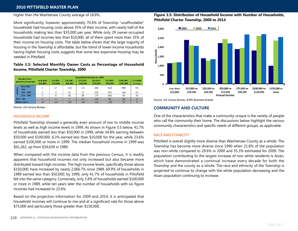# **2010 Pittsfield Master Plan**

#### higher than the Washtenaw County average of 18.8%.

More significantly, however, approximately 70.6% of Township "unaffordable" households had housing costs above 35% of their income, with nearly half of the households making less than \$35,000 per year. While only 29 owner-occupied households had incomes less than \$10,000, all of them spent more than 35% of their income on housing costs. The table below shows that the large majority of housing in the Township is affordable, but the trend of lower-income households having higher housing costs suggests that some less expensive housing may be needed in Pittsfield.

# **Table 3.5: Selected Monthly Owner Costs as Percentage of Household Income, Pittsfield Charter Township, 2000**

|   | <b>Housing Costs</b> | Household Income in 1999 |                         |                         |                         |                         |                         |                           |                      |  |
|---|----------------------|--------------------------|-------------------------|-------------------------|-------------------------|-------------------------|-------------------------|---------------------------|----------------------|--|
|   | (percent of income)  | Less than<br>\$10,000    | $$10,000 -$<br>\$19,999 | $$20,000 -$<br>\$34,999 | $$35,000 -$<br>\$49,999 | $$50,000 -$<br>\$74,999 | $575.000 -$<br>\$99,999 | $$100.000 -$<br>\$149,999 | \$150,000<br>or more |  |
| 곻 | Less than<br>20%     | 0                        | 24                      | 110                     | 125                     | 264                     | 523                     | 989                       | 711                  |  |
| ŝ | $20% - 24%$          | 0                        | 14                      | 31                      | 21                      | 259                     | 412                     | 306                       | 95                   |  |
|   | 25% - 29%            | 0                        | 6                       | 26                      | 36                      | 175                     | 200                     | 87                        | 33                   |  |
|   | 30% - 34%            | 0                        | 6                       |                         | 51                      | 156                     | 82                      | 31                        | $\bf{0}$             |  |
|   | 35% or more.         | 29                       | 115                     | 202                     | 162                     | $1/\Omega$              | 115                     | 1 <sup>C</sup>            | Q                    |  |

Source: US Census Bureau

#### **Household Income**

Pittsfield Township showed a generally even amount of low to middle income levels as well as high income levels in 1999. As shown in Figure 3.5 below, 41.7% of households earned less than \$50,000 in 1999, while 34.8% earning between \$50,000 and \$100,000. 6.3% earned less than \$10,000 for the year, while 23.6% earned \$100,000 or more in 1999. The median household income in 1999 was \$61,262, up from \$34,639 in 1989.

When compared with the income data from the previous Census, it is readily apparent that household incomes not only increased but also became more distributed toward high incomes. The high income levels, specifically those above \$150,000, have increased by nearly 2,066.7% since 1989. 69.9% of households in 1989 earned less than \$50,000; by 1999, only 41.7% of households in Pittsfield fell into the same category. Conversely, only 3.4% of households earned \$100,000 or more in 1989, while ten years later the number of households with six-figure incomes had increased to 23.6%.

Based on the projection information for 2009 and 2014, it is anticipated that household incomes will continue to rise and at a significant rate for those above \$75,000 and particularly those greater than \$150,000.

# **Figure 3.5: Distribution of Household Income with Number of Households, Pittsfield Charter Township, 2000 to 2014**



Source: US Census Bureau, ESRI Business Analyst

# **Community and Culture**

One of the characteristics that make a community unique is the variety of people who call the community their home. The discussions below highlight the various community characteristics and specific needs of different groups, as applicable.

#### **Race and Ethnicity**

Pittsfield is overall slightly more diverse than Washtenaw County as a whole. The Township has become more diverse since 1990 when 21.8% of the population was non-white compared to 29.6% in 2000 and 35.3% estimated for 2009. The population contributing to the largest increase of non-white residents is Asian, which have demonstrated a continual increase every decade for both the Township and the county as a whole. The race and ethnicity of the Township is projected to continue to change with the white population decreasing and the Asian population continuing to increase.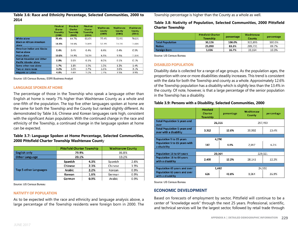**Table 3.6: Race and Ethnicity Percentage, Selected Communities, 2000 to 2014**

|                                                            | Pittsfield<br><b>Charter</b><br>Township<br>(2000) | Pittsfield<br><b>Charter</b><br>Township<br>(2009) | Pittsfield<br><b>Charter</b><br>Township<br>(2014) | Washtenaw<br>County<br>(2009) | Washtenaw<br>County<br>(2000) | Washtenaw<br>County<br>(2014) |
|------------------------------------------------------------|----------------------------------------------------|----------------------------------------------------|----------------------------------------------------|-------------------------------|-------------------------------|-------------------------------|
| <b>White alone</b>                                         | 70.4%                                              | 64.7%                                              | 61.0%                                              | 77.4%                         | 72.9%                         | 70.1%                         |
| <b>Black or African American</b><br>alone                  | 14.3%                                              | 14.5%                                              | 14.6%                                              | 12.3%                         | 13.1%                         | 13.4%                         |
| <b>American Indian and Alaska</b><br>Native alone          | 0.4%                                               | 0.4%                                               | 0.4%                                               | 0.4%                          | 0.4%                          | 0.3%                          |
| Asian alone                                                | 10.0%                                              | 14.9%                                              | 18.3%                                              | 6.3%                          | 9.5%                          | 11.6%                         |
| <b>Native Hawaiian and Other</b><br>Pacific Islander alone | 0.0%                                               | 0.1%                                               | 0.1%                                               | 0.0%                          | 0.1%                          | 0.1%                          |
| Some other race alone                                      | 1.7%                                               | 1.8%                                               | 1.9%                                               | 1.0%                          | 1.2%                          | 1.4%                          |
| Two or more races                                          | 3.2%                                               | 3.5%                                               | 3.7%                                               | 2.6%                          | 3.0%                          | 3.1%                          |
| <b>Hispanic or Latino</b>                                  | 4.0%                                               | 4.6%                                               | 5.0%                                               | 2.7%                          | 3.5%                          | 3.9%                          |

Source: US Census Bureau, ESRI Business Analyst

#### **Language Spoken at Home**

The percentage of those in the Township who speak a language other than English at home is nearly 7% higher than Washtenaw County as a whole and one-fifth of the population. The top five other languages spoken at home are the same for both the Township and the County but ranked slightly different. As demonstrated by Table 3.6, Chinese and Korean languages rank high, consistent with the significant Asian population. With the continued change in the race and ethnicity of the Township, a continued change in the language spoken at home can be expected.

# **Table 3.7: Language Spoken at Home Percentage, Selected Communities, 2000 Pittsfield Charter Township Washtenaw Count**y

|                              | <b>Pittsfield Charter Township</b> |       | <b>Washtenaw County</b> |       |  |
|------------------------------|------------------------------------|-------|-------------------------|-------|--|
| <b>English only</b>          |                                    | 79.9% |                         | 86.8% |  |
| <b>Other Language</b>        |                                    | 20.1% |                         | 13.2% |  |
|                              | Spanish                            | 4.3%  | Spanish                 | 2.6%  |  |
| <b>Top 5 other Languages</b> | Chinese                            | 2.3%  | Chinese                 | 1.9%  |  |
|                              | Arabic                             | 2.2%  | Korean                  | 0.9%  |  |
|                              | Korean                             | 1.6%  | German                  | 0.9%  |  |
|                              | German                             | 0.9%  | Arabic                  | 0.9%  |  |

Source: US Census Bureau

#### **Nativity of Population**

As to be expected with the race and ethnicity and language analysis above, a large percentage of the Township residents were foreign born in 2000. The Township percentage is higher than the County as a whole as well.

# **Table 3.8: Nativity of Population, Selected Communities, 2000 Pittsfield Charter Township**

|                         | <b>Pittsfield Charter</b><br><b>Township</b> | percentage | Washtenaw<br>County | percentage |
|-------------------------|----------------------------------------------|------------|---------------------|------------|
| <b>Total Population</b> | 30.126                                       | 100.0%     | 322,895             | 100.0%     |
| <b>Native</b>           | 25.090                                       | 83.3%      | 289,731             | 89.7%      |
| <b>Foreign Born</b>     | 5.036                                        | 16.7%      | 33,164              | 10.3%      |

Source: US Census Bureau

#### **Disabled Population**

Disability data is collected for a range of age groups. As the population ages, the proportion with one or more disabilities steadily increases. This trend is consistent with the data for both the Township and county as a whole. Approximately 12.6% of the Township population has a disability which is slightly less than the 13.4% in the county. Of note, however, is that a large percentage of the senior population in the Township has a disability.

# **Table 3.9: Persons with a Disability, Selected Communities, 2000**

|                                                               | Pittsfield<br>Charter<br><b>Township</b> | percentage | Washtenaw<br>County | percentage |  |  |
|---------------------------------------------------------------|------------------------------------------|------------|---------------------|------------|--|--|
| <b>Total Population 5 years and</b><br>over                   | 26,316                                   |            |                     | 297,490    |  |  |
| <b>Total Population 5 years and</b><br>over with a disability | 3,312                                    | 12.6%      | 39.902              | 13.4%      |  |  |
|                                                               |                                          |            |                     |            |  |  |
| 4,290<br>Population 5 to 15 years                             |                                          |            |                     |            |  |  |
| Population 5 to 15 years with<br>a disability                 | 187                                      | 4.4%       | 2,597               | 6.2%       |  |  |
|                                                               |                                          |            |                     |            |  |  |
| Population 16 to 64 years                                     | 20,564                                   |            | 229,321             |            |  |  |
| Population 16 to 64 years<br>with a disability                | 2,499                                    | 12.2%      | 28,141              | 12.3%      |  |  |
|                                                               |                                          |            |                     |            |  |  |
| Population 65 years and over                                  | 1,462                                    |            | 24,592              |            |  |  |
| Population 65 years and over<br>with a disability             | 626                                      | 42.8%      | 9,064               | 36.9%      |  |  |

Source: US Census Bureau

# **Economic Development**

Based on forecasts of employment by sector, Pittsfield will continue to be a center of "knowledge work" through the next 25 years. Professional, scientific, and technical services will be the largest sector, followed by retail trade through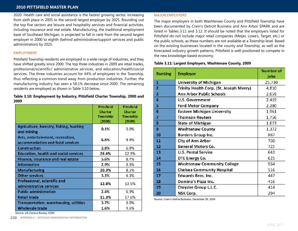# **2010 Pittsfield Master Plan**

2020. Health care and social assistance is the fastest growing sector, increasing from sixth place in 2005 to the second-largest employer by 2025. Rounding out the top five sectors are leisure and hospitality services and financial activities, including insurance and real estate. Manufacturing, the traditional employment base of Southeast Michigan, is projected to fall in rank from the second largest employer in 2000 to eighth (behind administrative/support services and public administration) by 2025.

#### **EMPLOYMENT**

Pittsfield Township residents are employed in a wide range of industries, and they have shifted greatly since 2000. The top three industries in 2009 are retail trades, professional/scientific/ administrative services, and education/health/social services. The three industries account for 44% of employees in the Township, thus reflecting a common trend away from production industries. Further, the manufacturing industry has seen a 58.1% decrease since 2000. The remaining residents are employed as shown in Table 3.10 below.

# **Table 3.10: Employment by Industry, Pittsfield Charter Township, 2000 and 2009**

|                                                                     | Pittsfield     | Pittsfield     |
|---------------------------------------------------------------------|----------------|----------------|
|                                                                     | <b>Charter</b> | <b>Charter</b> |
|                                                                     | Township       | Township       |
|                                                                     | (2000)         | (2009)         |
| Agriculture, forestry, fishing, hunting<br>and mining               | 0.1%           | 0.0%           |
| Arts, entertainment, recreation,<br>accommodation and food services | 6.6%           | 9.9%           |
| Construction                                                        | 2.8%           | 6.9%           |
| <b>Education, health and social services</b>                        | 26.4%          | 12.9%          |
| Finance, insurance and real estate                                  | 5.6%           | 8.4%           |
| <b>Information</b>                                                  | 2.9%           | 3.3%           |
| <b>Manufacturing</b>                                                | 20.3%          | 8.5%           |
| Other services                                                      | 3.3%           | 4.3%           |
| Professional, scientific and<br>administrative services             | 12.8%          | 13.5%          |
| <b>Public administration</b>                                        | 2.4%           | 6.9%           |
| <b>Retail trade</b>                                                 | 11.3%          | 17.6%          |
| Transportation, warehousing, utilities                              | 3.7%           | 3.0%           |
| Wholesale trade                                                     | 1.6%           | 4.6%           |

#### **Major Employers**

The major employers in both Washtenaw County and Pittsfield Township have been documented by Crain's Detroit Business and Ann Arbor SPARK and are listed in Tables 3.11 and 3.12. It should be noted that the employers listed for Pittsfield do not include major retail companies (Meijer, Lowe's, Target, etc.) or the public schools, as these numbers are not available at a Township level. Based on the existing businesses located in the county and Township, as well as the forecasted industry growth patterns, Pittsfield is well-positioned to compete in the new knowledge-based economy.

# **Table 3.11: Largest Employers, Washtenaw County, 2009**

| Ranking        | <b>Employer</b>                          | <b>Number of</b><br>jobs |
|----------------|------------------------------------------|--------------------------|
| $\mathbf{1}$   | University of Michigan                   | 25,730                   |
| $\overline{2}$ | Trinity Health Corp. (St. Joseph Mercy). | 4,810                    |
| 3              | Ann Arbor Public Schools                 | 2,659                    |
| 4              | U.S. Government                          | 2,419                    |
| 5              | Ford Motor Company                       | 2,280                    |
| 6              | Eastern Michigan University              | 1,961                    |
| 7              | Thomson Reuters                          | 1,756                    |
| 8              | State of Michigan                        | 1,673                    |
| 9              | <b>Washtenaw County</b>                  | 1,372                    |
| 10             | Borders Group Inc.                       | 887                      |
| 11             | City of Ann Arbor                        | 750                      |
| 12             | General Motors Co.                       | 725                      |
| 13             | <b>U.S. Postal Service</b>               | 643                      |
| 14             | DTE Energy Co.                           | 625                      |
| 15             | <b>Washtenaw Community College</b>       | 564                      |
| 16             | <b>Chelsea Community Hospital</b>        | 516                      |
| 17             | Edwards Bros. Inc.                       | 447                      |
| 18             | Domino's Pizza Inc.                      | 416                      |
| 19             | Chrysler Group L.L.C.                    | 414                      |
| 20             | NSK Corp.                                | 294                      |

Source: Crain's Detroit Business, December 28, 2009

Source: US Census Bureau, ESRI

**230 APPENDIX A | Detailed Demographic INFORMATION**